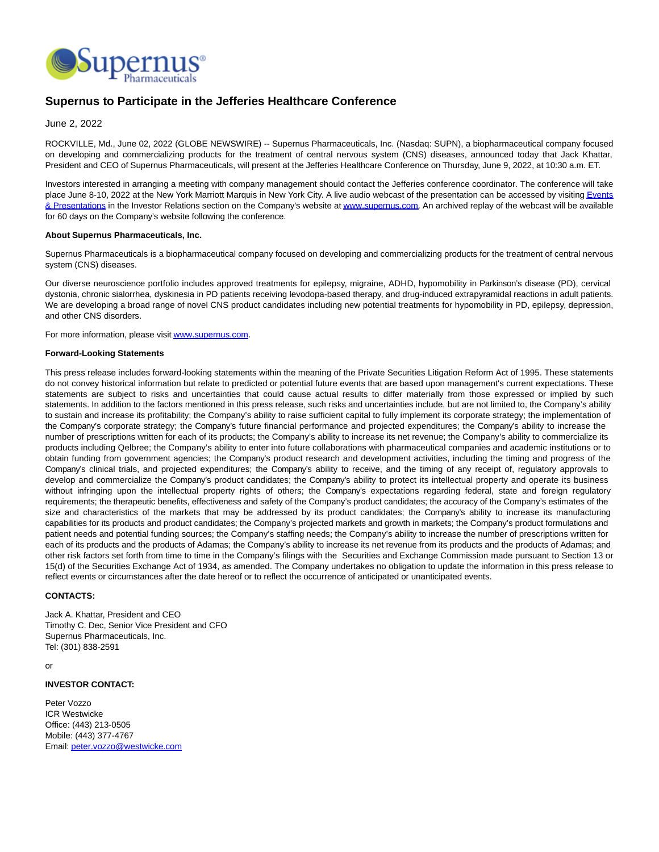

# **Supernus to Participate in the Jefferies Healthcare Conference**

## June 2, 2022

ROCKVILLE, Md., June 02, 2022 (GLOBE NEWSWIRE) -- Supernus Pharmaceuticals, Inc. (Nasdaq: SUPN), a biopharmaceutical company focused on developing and commercializing products for the treatment of central nervous system (CNS) diseases, announced today that Jack Khattar, President and CEO of Supernus Pharmaceuticals, will present at the Jefferies Healthcare Conference on Thursday, June 9, 2022, at 10:30 a.m. ET.

Investors interested in arranging a meeting with company management should contact the Jefferies conference coordinator. The conference will take place June 8-10, 2022 at the New York Marriott Marquis in New York City. A live audio webcast of the presentation can be accessed by visitin[g Events](https://www.globenewswire.com/Tracker?data=S6l-Ao2c6f3PuPjX0kxCzeDXuBjlxhJAp228c2Bvsd9tC_rbgQAthMvsstahZgp18xfPFjZADuPhkTdLVyIRzUT6A3wrn_43kpquGeSOOBp5M0CL2plyq-znQacjR3XD) & Presentations in the Investor Relations section on the Company's website a[t www.supernus.com.](https://www.globenewswire.com/Tracker?data=3r9Eeub271wwQGoEJj20gz8deb2KMwYqYeB8xx-D3FkKlmiAcCbkDku-2LoJBnjt9ZFFk2L0iqh6liy0TiFKPA==) An archived replay of the webcast will be available for 60 days on the Company's website following the conference.

#### **About Supernus Pharmaceuticals, Inc.**

Supernus Pharmaceuticals is a biopharmaceutical company focused on developing and commercializing products for the treatment of central nervous system (CNS) diseases.

Our diverse neuroscience portfolio includes approved treatments for epilepsy, migraine, ADHD, hypomobility in Parkinson's disease (PD), cervical dystonia, chronic sialorrhea, dyskinesia in PD patients receiving levodopa-based therapy, and drug-induced extrapyramidal reactions in adult patients. We are developing a broad range of novel CNS product candidates including new potential treatments for hypomobility in PD, epilepsy, depression, and other CNS disorders.

For more information, please visi[t www.supernus.com.](https://www.globenewswire.com/Tracker?data=3r9Eeub271wwQGoEJj20g_8aOTQ6-UoVluEMa_5RubpuS3HZ5OpWwXHGXStmY33ep1TMeVdJjyffDjP7eRfwXg==)

### **Forward-Looking Statements**

This press release includes forward-looking statements within the meaning of the Private Securities Litigation Reform Act of 1995. These statements do not convey historical information but relate to predicted or potential future events that are based upon management's current expectations. These statements are subject to risks and uncertainties that could cause actual results to differ materially from those expressed or implied by such statements. In addition to the factors mentioned in this press release, such risks and uncertainties include, but are not limited to, the Company's ability to sustain and increase its profitability; the Company's ability to raise sufficient capital to fully implement its corporate strategy; the implementation of the Company's corporate strategy; the Company's future financial performance and projected expenditures; the Company's ability to increase the number of prescriptions written for each of its products; the Company's ability to increase its net revenue; the Company's ability to commercialize its products including Qelbree; the Company's ability to enter into future collaborations with pharmaceutical companies and academic institutions or to obtain funding from government agencies; the Company's product research and development activities, including the timing and progress of the Company's clinical trials, and projected expenditures; the Company's ability to receive, and the timing of any receipt of, regulatory approvals to develop and commercialize the Company's product candidates; the Company's ability to protect its intellectual property and operate its business without infringing upon the intellectual property rights of others; the Company's expectations regarding federal, state and foreign regulatory requirements; the therapeutic benefits, effectiveness and safety of the Company's product candidates; the accuracy of the Company's estimates of the size and characteristics of the markets that may be addressed by its product candidates; the Company's ability to increase its manufacturing capabilities for its products and product candidates; the Company's projected markets and growth in markets; the Company's product formulations and patient needs and potential funding sources; the Company's staffing needs; the Company's ability to increase the number of prescriptions written for each of its products and the products of Adamas; the Company's ability to increase its net revenue from its products and the products of Adamas; and other risk factors set forth from time to time in the Company's filings with the Securities and Exchange Commission made pursuant to Section 13 or 15(d) of the Securities Exchange Act of 1934, as amended. The Company undertakes no obligation to update the information in this press release to reflect events or circumstances after the date hereof or to reflect the occurrence of anticipated or unanticipated events.

### **CONTACTS:**

Jack A. Khattar, President and CEO Timothy C. Dec, Senior Vice President and CFO Supernus Pharmaceuticals, Inc. Tel: (301) 838-2591

or

### **INVESTOR CONTACT:**

Peter Vozzo ICR Westwicke Office: (443) 213-0505 Mobile: (443) 377-4767 Email[: peter.vozzo@westwicke.com](mailto:peter.vozzo@westwicke.com)